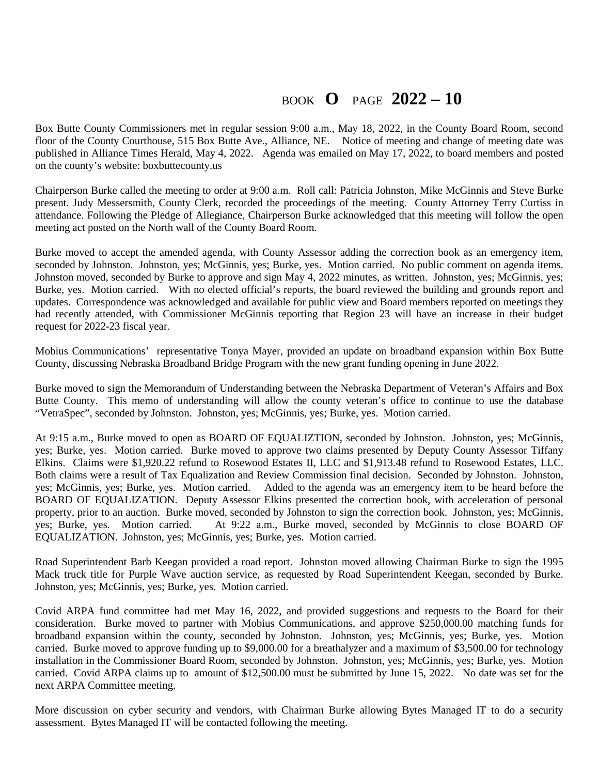## BOOK **O** PAGE **2022 – 10**

Box Butte County Commissioners met in regular session 9:00 a.m., May 18, 2022, in the County Board Room, second floor of the County Courthouse, 515 Box Butte Ave., Alliance, NE. Notice of meeting and change of meeting date was published in Alliance Times Herald, May 4, 2022. Agenda was emailed on May 17, 2022, to board members and posted on the county's website: boxbuttecounty.us

Chairperson Burke called the meeting to order at 9:00 a.m. Roll call: Patricia Johnston, Mike McGinnis and Steve Burke present. Judy Messersmith, County Clerk, recorded the proceedings of the meeting. County Attorney Terry Curtiss in attendance. Following the Pledge of Allegiance, Chairperson Burke acknowledged that this meeting will follow the open meeting act posted on the North wall of the County Board Room.

Burke moved to accept the amended agenda, with County Assessor adding the correction book as an emergency item, seconded by Johnston. Johnston, yes; McGinnis, yes; Burke, yes. Motion carried. No public comment on agenda items. Johnston moved, seconded by Burke to approve and sign May 4, 2022 minutes, as written. Johnston, yes; McGinnis, yes; Burke, yes. Motion carried. With no elected official's reports, the board reviewed the building and grounds report and updates. Correspondence was acknowledged and available for public view and Board members reported on meetings they had recently attended, with Commissioner McGinnis reporting that Region 23 will have an increase in their budget request for 2022-23 fiscal year.

Mobius Communications' representative Tonya Mayer, provided an update on broadband expansion within Box Butte County, discussing Nebraska Broadband Bridge Program with the new grant funding opening in June 2022.

Burke moved to sign the Memorandum of Understanding between the Nebraska Department of Veteran's Affairs and Box Butte County. This memo of understanding will allow the county veteran's office to continue to use the database "VetraSpec", seconded by Johnston. Johnston, yes; McGinnis, yes; Burke, yes. Motion carried.

At 9:15 a.m., Burke moved to open as BOARD OF EQUALIZTION, seconded by Johnston. Johnston, yes; McGinnis, yes; Burke, yes. Motion carried. Burke moved to approve two claims presented by Deputy County Assessor Tiffany Elkins. Claims were \$1,920.22 refund to Rosewood Estates II, LLC and \$1,913.48 refund to Rosewood Estates, LLC. Both claims were a result of Tax Equalization and Review Commission final decision. Seconded by Johnston. Johnston, yes; McGinnis, yes; Burke, yes. Motion carried. Added to the agenda was an emergency item to be heard before the BOARD OF EQUALIZATION. Deputy Assessor Elkins presented the correction book, with acceleration of personal property, prior to an auction. Burke moved, seconded by Johnston to sign the correction book. Johnston, yes; McGinnis, yes; Burke, yes. Motion carried. At 9:22 a.m., Burke moved, seconded by McGinnis to close BOARD OF EQUALIZATION. Johnston, yes; McGinnis, yes; Burke, yes. Motion carried.

Road Superintendent Barb Keegan provided a road report. Johnston moved allowing Chairman Burke to sign the 1995 Mack truck title for Purple Wave auction service, as requested by Road Superintendent Keegan, seconded by Burke. Johnston, yes; McGinnis, yes; Burke, yes. Motion carried.

Covid ARPA fund committee had met May 16, 2022, and provided suggestions and requests to the Board for their consideration. Burke moved to partner with Mobius Communications, and approve \$250,000.00 matching funds for broadband expansion within the county, seconded by Johnston. Johnston, yes; McGinnis, yes; Burke, yes. Motion carried. Burke moved to approve funding up to \$9,000.00 for a breathalyzer and a maximum of \$3,500.00 for technology installation in the Commissioner Board Room, seconded by Johnston. Johnston, yes; McGinnis, yes; Burke, yes. Motion carried. Covid ARPA claims up to amount of \$12,500.00 must be submitted by June 15, 2022. No date was set for the next ARPA Committee meeting.

More discussion on cyber security and vendors, with Chairman Burke allowing Bytes Managed IT to do a security assessment. Bytes Managed IT will be contacted following the meeting.